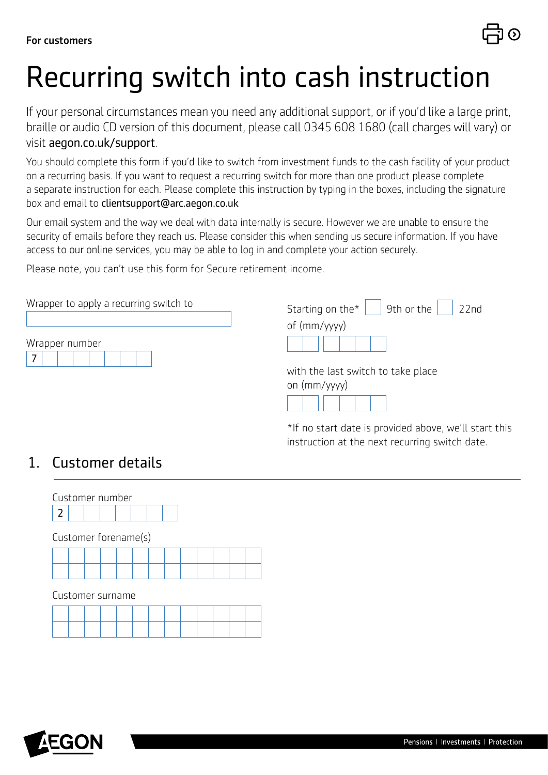# Recurring switch into cash instruction

If your personal circumstances mean you need any additional support, or if you'd like a large print, braille or audio CD version of this document, please call 0345 608 1680 (call charges will vary) or visit [aegon.co.uk/support](http://aegon.co.uk/support ).

You should complete this form if you'd like to switch from investment funds to the cash facility of your product on a recurring basis. If you want to request a recurring switch for more than one product please complete a separate instruction for each. Please complete this instruction by typing in the boxes, including the signature box and email to clientsupport@arc.aegon.co.uk

Our email system and the way we deal with data internally is secure. However we are unable to ensure the security of emails before they reach us. Please consider this when sending us secure information. If you have access to our online services, you may be able to log in and complete your action securely.

Please note, you can't use this form for Secure retirement income.

| Wrapper to apply a recurring switch to<br>Wrapper number | Starting on the $\vert$   9th or the<br>22 <sub>nd</sub> |
|----------------------------------------------------------|----------------------------------------------------------|
|                                                          | of (mm/yyyy)                                             |
|                                                          | with the last switch to take place<br>on $(mm/yyyy)$     |
|                                                          | $\mathbf{111}$ $\mathbf{12}$                             |

\*If no start date is provided above, we'll start this instruction at the next recurring switch date.

#### 1. Customer details



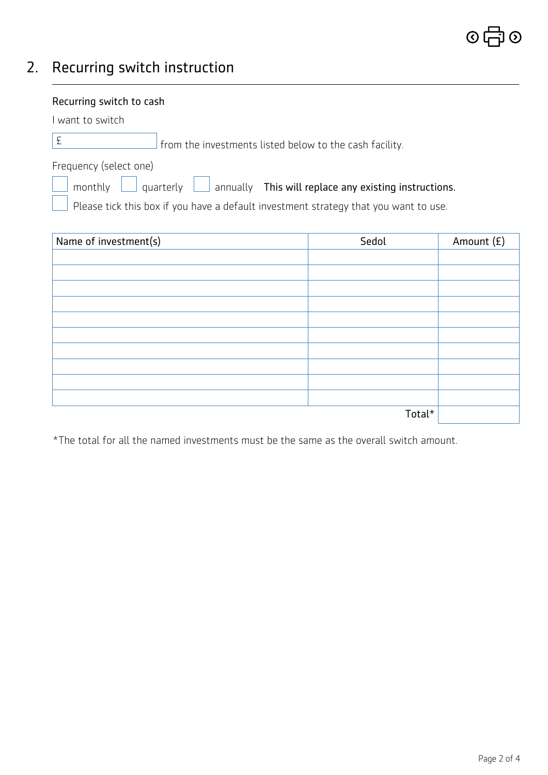## 2. Recurring switch instruction

| Recurring switch to cash                                                             |       |              |  |
|--------------------------------------------------------------------------------------|-------|--------------|--|
| I want to switch                                                                     |       |              |  |
| $\pounds$<br>from the investments listed below to the cash facility.                 |       |              |  |
| Frequency (select one)                                                               |       |              |  |
| quarterly<br>$\Box$ annually This will replace any existing instructions.<br>monthly |       |              |  |
| Please tick this box if you have a default investment strategy that you want to use. |       |              |  |
|                                                                                      |       |              |  |
| Name of investment(s)                                                                | Sedol | Amount $(E)$ |  |
|                                                                                      |       |              |  |
|                                                                                      |       |              |  |
|                                                                                      |       |              |  |
|                                                                                      |       |              |  |
|                                                                                      |       |              |  |
|                                                                                      |       |              |  |
|                                                                                      |       |              |  |
|                                                                                      |       |              |  |
|                                                                                      |       |              |  |

\*The total for all the named investments must be the same as the overall switch amount.

Total\*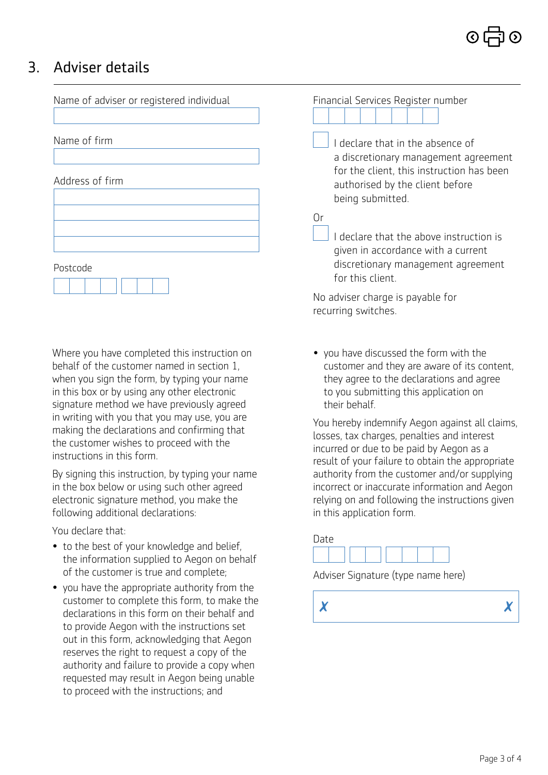### 3. Adviser details

| Name of adviser or registered individual | Financial Services Register number                                                                                                                                         |
|------------------------------------------|----------------------------------------------------------------------------------------------------------------------------------------------------------------------------|
| Name of firm                             | declare that in the absence of<br>a discretionary management agreement<br>for the client, this instruction has been<br>authorised by the client before<br>being submitted. |
| Address of firm                          |                                                                                                                                                                            |
| Postcode                                 | Or<br>declare that the above instruction is<br>given in accordance with a current<br>discretionary management agreement                                                    |
|                                          | for this client.<br>No adviser charge is payable for                                                                                                                       |

 Where you have completed this instruction on behalf of the customer named in section 1, when you sign the form, by typing your name in this box or by using any other electronic signature method we have previously agreed in writing with you that you may use, you are making the declarations and confirming that the customer wishes to proceed with the instructions in this form.

By signing this instruction, by typing your name in the box below or using such other agreed electronic signature method, you make the following additional declarations:

You declare that:

- to the best of your knowledge and belief, the information supplied to Aegon on behalf of the customer is true and complete;
- you have the appropriate authority from the customer to complete this form, to make the declarations in this form on their behalf and to provide Aegon with the instructions set out in this form, acknowledging that Aegon reserves the right to request a copy of the authority and failure to provide a copy when requested may result in Aegon being unable to proceed with the instructions; and

• you have discussed the form with the customer and they are aware of its content, they agree to the declarations and agree to you submitting this application on their behalf.

recurring switches.

 You hereby indemnify Aegon against all claims, losses, tax charges, penalties and interest incurred or due to be paid by Aegon as a result of your failure to obtain the appropriate authority from the customer and/or supplying incorrect or inaccurate information and Aegon relying on and following the instructions given in this application form.

# Date

Adviser Signature (type name here)